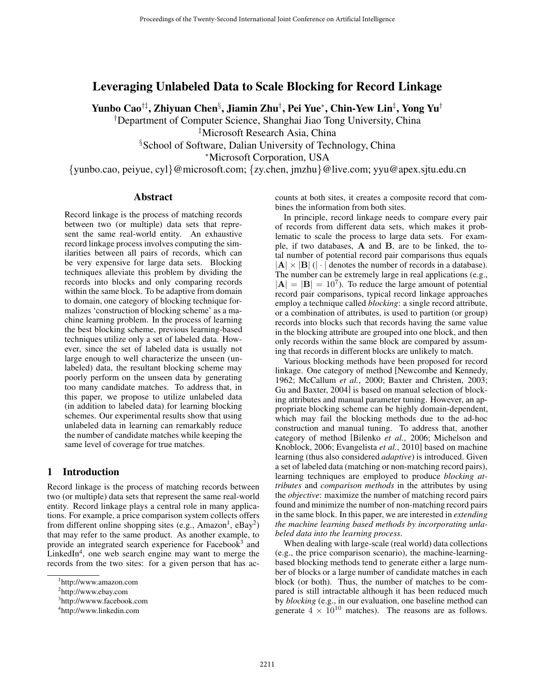# Leveraging Unlabeled Data to Scale Blocking for Record Linkage

Yunbo Cao†‡, Zhiyuan Chen§ , Jiamin Zhu†, Pei Yue<sup>∗</sup>, Chin-Yew Lin‡ , Yong Yu†

† Department of Computer Science, Shanghai Jiao Tong University, China

‡Microsoft Research Asia, China

§ School of Software, Dalian University of Technology, China

<sup>∗</sup>Microsoft Corporation, USA

{yunbo.cao, peiyue, cyl}@microsoft.com; {zy.chen, jmzhu}@live.com; yyu@apex.sjtu.edu.cn

# Abstract

Record linkage is the process of matching records between two (or multiple) data sets that represent the same real-world entity. An exhaustive record linkage process involves computing the similarities between all pairs of records, which can be very expensive for large data sets. Blocking techniques alleviate this problem by dividing the records into blocks and only comparing records within the same block. To be adaptive from domain to domain, one category of blocking technique formalizes 'construction of blocking scheme' as a machine learning problem. In the process of learning the best blocking scheme, previous learning-based techniques utilize only a set of labeled data. However, since the set of labeled data is usually not large enough to well characterize the unseen (unlabeled) data, the resultant blocking scheme may poorly perform on the unseen data by generating too many candidate matches. To address that, in this paper, we propose to utilize unlabeled data (in addition to labeled data) for learning blocking schemes. Our experimental results show that using unlabeled data in learning can remarkably reduce the number of candidate matches while keeping the same level of coverage for true matches.

# 1 Introduction

Record linkage is the process of matching records between two (or multiple) data sets that represent the same real-world entity. Record linkage plays a central role in many applications. For example, a price comparison system collects offers from different online shopping sites (e.g., Amazon<sup>1</sup>, eBay<sup>2</sup>) that may refer to the same product. As another example, to provide an integrated search experience for Facebook<sup>3</sup> and LinkedIn<sup>4</sup>, one web search engine may want to merge the records from the two sites: for a given person that has accounts at both sites, it creates a composite record that combines the information from both sites.

In principle, record linkage needs to compare every pair of records from different data sets, which makes it problematic to scale the process to large data sets. For example, if two databases, **A** and **B**, are to be linked, the total number of potential record pair comparisons thus equals  $|\mathbf{A}| \times |\mathbf{B}|$  (| · | denotes the number of records in a database). The number can be extremely large in real applications (e.g.,  $|\mathbf{A}| = |\mathbf{B}| = 10^7$ . To reduce the large amount of potential record pair comparisons, typical record linkage approaches employ a technique called *blocking*: a single record attribute, or a combination of attributes, is used to partition (or group) records into blocks such that records having the same value in the blocking attribute are grouped into one block, and then only records within the same block are compared by assuming that records in different blocks are unlikely to match.

Various blocking methods have been proposed for record linkage. One category of method [Newcombe and Kennedy, 1962; McCallum *et al.*, 2000; Baxter and Christen, 2003; Gu and Baxter, 2004] is based on manual selection of blocking attributes and manual parameter tuning. However, an appropriate blocking scheme can be highly domain-dependent, which may fail the blocking methods due to the ad-hoc construction and manual tuning. To address that, another category of method [Bilenko *et al.*, 2006; Michelson and Knoblock, 2006; Evangelista *et al.*, 2010] based on machine learning (thus also considered *adaptive*) is introduced. Given a set of labeled data (matching or non-matching record pairs), learning techniques are employed to produce *blocking attributes* and *comparison methods* in the attributes by using the *objective*: maximize the number of matching record pairs found and minimize the number of non-matching record pairs in the same block. In this paper, we are interested in *extending the machine learning based methods by incorporating unlabeled data into the learning process*.

When dealing with large-scale (real world) data collections (e.g., the price comparison scenario), the machine-learningbased blocking methods tend to generate either a large number of blocks or a large number of candidate matches in each block (or both). Thus, the number of matches to be compared is still intractable although it has been reduced much by *blocking* (e.g., in our evaluation, one baseline method can generate  $4 \times 10^{10}$  matches). The reasons are as follows.

<sup>1</sup> http://www.amazon.com

<sup>2</sup> http://www.ebay.com

<sup>3</sup> http://wwww.facebook.com

<sup>4</sup> http://www.linkedin.com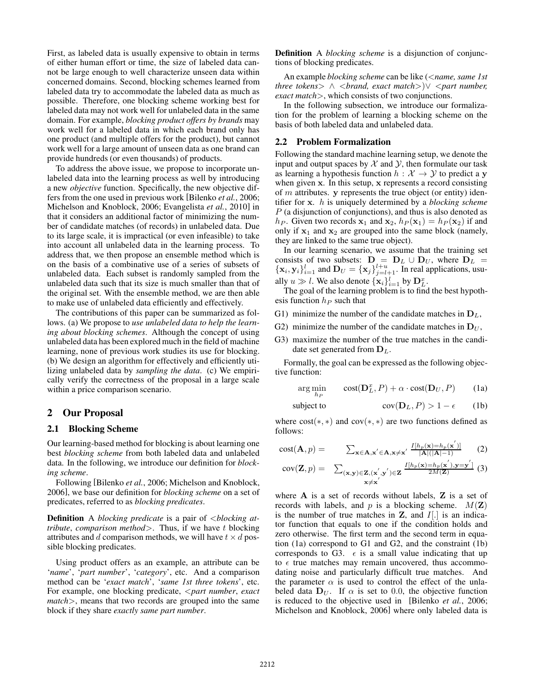First, as labeled data is usually expensive to obtain in terms of either human effort or time, the size of labeled data cannot be large enough to well characterize unseen data within concerned domains. Second, blocking schemes learned from labeled data try to accommodate the labeled data as much as possible. Therefore, one blocking scheme working best for labeled data may not work well for unlabeled data in the same domain. For example, *blocking product offers by brands* may work well for a labeled data in which each brand only has one product (and multiple offers for the product), but cannot work well for a large amount of unseen data as one brand can provide hundreds (or even thousands) of products.

To address the above issue, we propose to incorporate unlabeled data into the learning process as well by introducing a new *objective* function. Specifically, the new objective differs from the one used in previous work [Bilenko *et al.*, 2006; Michelson and Knoblock, 2006; Evangelista *et al.*, 2010] in that it considers an additional factor of minimizing the number of candidate matches (of records) in unlabeled data. Due to its large scale, it is impractical (or even infeasible) to take into account all unlabeled data in the learning process. To address that, we then propose an ensemble method which is on the basis of a combinative use of a series of subsets of unlabeled data. Each subset is randomly sampled from the unlabeled data such that its size is much smaller than that of the original set. With the ensemble method, we are then able to make use of unlabeled data efficiently and effectively.

The contributions of this paper can be summarized as follows. (a) We propose to *use unlabeled data to help the learning about blocking schemes*. Although the concept of using unlabeled data has been explored much in the field of machine learning, none of previous work studies its use for blocking. (b) We design an algorithm for effectively and efficiently utilizing unlabeled data by *sampling the data*. (c) We empirically verify the correctness of the proposal in a large scale within a price comparison scenario.

# 2 Our Proposal

#### 2.1 Blocking Scheme

Our learning-based method for blocking is about learning one best *blocking scheme* from both labeled data and unlabeled data. In the following, we introduce our definition for *blocking scheme*.

Following [Bilenko *et al.*, 2006; Michelson and Knoblock, 2006], we base our definition for *blocking scheme* on a set of predicates, referred to as *blocking predicates*.

Definition A *blocking predicate* is a pair of <*blocking attribute*, *comparison method*>. Thus, if we have t blocking attributes and d comparison methods, we will have  $t \times d$  possible blocking predicates.

Using product offers as an example, an attribute can be '*name*', '*part number*', '*category*', etc. And a comparison method can be '*exact match*', '*same 1st three tokens*', etc. For example, one blocking predicate, <*part number*, *exact match*>, means that two records are grouped into the same block if they share *exactly same part number*.

Definition A *blocking scheme* is a disjunction of conjunctions of blocking predicates.

An example *blocking scheme* can be like (<*name, same 1st three tokens*<sup>&</sup>gt; <sup>∧</sup> <sup>&</sup>lt;*brand, exact match*>)<sup>∨</sup> <sup>&</sup>lt;*part number, exact match*>, which consists of two conjunctions.

In the following subsection, we introduce our formalization for the problem of learning a blocking scheme on the basis of both labeled data and unlabeled data.

#### 2.2 Problem Formalization

Following the standard machine learning setup, we denote the input and output spaces by  $X$  and  $Y$ , then formulate our task as learning a hypothesis function  $h : \mathcal{X} \to \mathcal{Y}$  to predict a **y** when given **x**. In this setup, **x** represents a record consisting of m attributes. **y** represents the true object (or entity) identifier for **x**. h is uniquely determined by a *blocking scheme*  $P$  (a disjunction of conjunctions), and thus is also denoted as  $h_P$ . Given two records  $\mathbf{x}_1$  and  $\mathbf{x}_2$ ,  $h_P(\mathbf{x}_1) = h_P(\mathbf{x}_2)$  if and only if  $x_1$  and  $x_2$  are grouped into the same block (namely, they are linked to the same true object).

In our learning scenario, we assume that the training set consists of two subsets:  $\mathbf{D} = \mathbf{D}_L \cup \mathbf{D}_U$ , where  $\mathbf{D}_L = \{\mathbf{x}_L\}_{L=1}^U$  and  $\mathbf{D}_{U} = \{\mathbf{x}_L\}_{L=1}^U$  in real applications usu- ${x_i, y_i}_{i=1}^l$  and  $\mathbf{D}_U = {\mathbf{x}_j}_{j=l+1}^{l+u}$ . In real applications, usually  $u \gg l$ . We also denote  ${\mathbf x}_i\}_{i=1}^l$  by  ${\mathbf D}_{L}^{\mathcal{X}}$ .<br>The goal of the learning problem is to find

The goal of the learning problem is to find the best hypothesis function  $h_P$  such that

- G1) minimize the number of the candidate matches in  $D_L$ ,
- G2) minimize the number of the candidate matches in  $D_U$ ,
- G3) maximize the number of the true matches in the candidate set generated from  $D_L$ .

Formally, the goal can be expressed as the following objective function:

$$
\arg\min_{hp} \qquad \text{cost}(\mathbf{D}_L^x, P) + \alpha \cdot \text{cost}(\mathbf{D}_U, P) \tag{1a}
$$

subject to 
$$
cov(D_L, P) > 1 - \epsilon \qquad (1b)
$$

where  $cost(*, *)$  and  $cov(*, *)$  are two functions defined as follows:

$$
cost(\mathbf{A}, p) = \sum_{\mathbf{x} \in \mathbf{A}, \mathbf{x}' \in \mathbf{A}, \mathbf{x} \neq \mathbf{x}'} \frac{I[h_p(\mathbf{x}) = h_p(\mathbf{x}')]}{|\mathbf{A}|(|\mathbf{A}| - 1)} \tag{2}
$$

$$
cov(\mathbf{Z}, p) = \sum_{(\mathbf{x}, \mathbf{y}) \in \mathbf{Z}, (\mathbf{x}', \mathbf{y}') \in \mathbf{Z}} \frac{I[h_p(\mathbf{x}) = h_p(\mathbf{x}'), \mathbf{y} = \mathbf{y}']}{2M(\mathbf{Z})}
$$
(3)

where **A** is a set of records without labels, **Z** is a set of records with labels, and  $p$  is a blocking scheme.  $M(\mathbf{Z})$ is the number of true matches in  $Z$ , and  $I$ [.] is an indicator function that equals to one if the condition holds and zero otherwise. The first term and the second term in equation (1a) correspond to G1 and G2, and the constraint (1b) corresponds to G3.  $\epsilon$  is a small value indicating that up to  $\epsilon$  true matches may remain uncovered, thus accommodating noise and particularly difficult true matches. And the parameter  $\alpha$  is used to control the effect of the unlabeled data  $D_U$ . If  $\alpha$  is set to 0.0, the objective function is reduced to the objective used in [Bilenko *et al.*, 2006; Michelson and Knoblock, 2006] where only labeled data is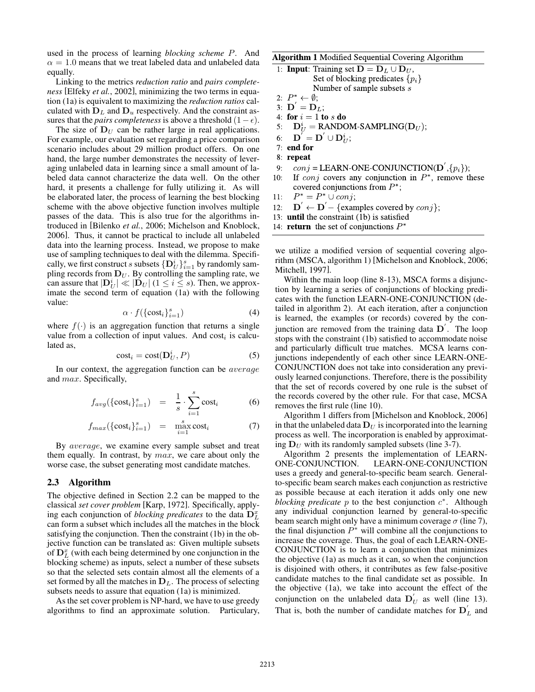used in the process of learning *blocking scheme* P. And  $\alpha = 1.0$  means that we treat labeled data and unlabeled data equally.

Linking to the metrics *reduction ratio* and *pairs completeness* [Elfeky *et al.*, 2002], minimizing the two terms in equation (1a) is equivalent to maximizing the *reduction ratios* calculated with  $D_L$  and  $D_u$  respectively. And the constraint assures that the *pairs completeness* is above a threshold  $(1-\epsilon)$ .

The size of  $D_U$  can be rather large in real applications. For example, our evaluation set regarding a price comparison scenario includes about 29 million product offers. On one hand, the large number demonstrates the necessity of leveraging unlabeled data in learning since a small amount of labeled data cannot characterize the data well. On the other hard, it presents a challenge for fully utilizing it. As will be elaborated later, the process of learning the best blocking scheme with the above objective function involves multiple passes of the data. This is also true for the algorithms introduced in [Bilenko *et al.*, 2006; Michelson and Knoblock, 2006]. Thus, it cannot be practical to include all unlabeled data into the learning process. Instead, we propose to make use of sampling techniques to deal with the dilemma. Specifically, we first construct s subsets  $\{D_U^i\}_{i=1}^s$  by randomly sam-<br>pling records from  $D_U$ . By controlling the sampling rate, we pling records from  $D_U$ . By controlling the sampling rate, we can assure that  $|\mathbf{D}_{U}^{i}| \ll |\mathbf{D}_{U}|$  ( $1 \leq i \leq s$ ). Then, we approx-<br>imate the second term of equation (1a) with the following imate the second term of equation (1a) with the following value:

$$
\alpha \cdot f(\{\text{cost}_i\}_{i=1}^s) \tag{4}
$$

where  $f(\cdot)$  is an aggregation function that returns a single value from a collection of input values. And cost, is calcuvalue from a collection of input values. And  $cost_i$  is calculated as,

$$
cost_i = cost(D_U^i, P)
$$
 (5)

In our context, the aggregation function can be average and max. Specifically,

$$
f_{avg}(\{\text{cost}_i\}_{i=1}^s) = \frac{1}{s} \cdot \sum_{i=1}^s \text{cost}_i \tag{6}
$$

$$
f_{max}(\{\text{cost}_i\}_{i=1}^s) = \max_{i=1}^s \text{cost}_i \tag{7}
$$

By average, we examine every sample subset and treat them equally. In contrast, by  $max$ , we care about only the worse case, the subset generating most candidate matches.

#### 2.3 Algorithm

The objective defined in Section 2.2 can be mapped to the classical *set cover problem* [Karp, 1972]. Specifically, applying each conjunction of *blocking predicates* to the data  $D_L^x$ can form a subset which includes all the matches in the block satisfying the conjunction. Then the constraint (1b) in the objective function can be translated as: Given multiple subsets of  $\mathbf{D}_L^x$  (with each being determined by one conjunction in the blocking scheme) as inputs select a number of these subsets blocking scheme) as inputs, select a number of these subsets so that the selected sets contain almost all the elements of a set formed by all the matches in  $D_L$ . The process of selecting subsets needs to assure that equation (1a) is minimized.

As the set cover problem is NP-hard, we have to use greedy algorithms to find an approximate solution. Particulary, Algorithm 1 Modified Sequential Covering Algorithm

- 1: **Input**: Training set  $D = D_L \cup D_U$ , Set of blocking predicates  $\{p_i\}$ Number of sample subsets s 2:  $P^* \leftarrow \emptyset$ ;
- 3:  $\mathbf{D}^{\prime} = \mathbf{D}_L$ ;
- 4: for  $i = 1$  to s do
- $D_U^i =$  RANDOM-SAMPLING( $D_U$ ); 5:
- $\mathbf{D}^{'} = \mathbf{D}^{'} \cup \mathbf{D}_{II}^{i};$ 6:
- $7:$  end for
- 8: repeat
- $conj = LEARN-ONE-CONJUNCTION(D', \{p_i\});$  $9:$
- If *conj* covers any conjunction in  $P^*$ , remove these  $10:$ covered conjunctions from  $P^*$ ;
- $P^* = P^* \cup conj;$  $11:$
- $\mathbf{D}' \leftarrow \mathbf{D}' \{\text{examples covered by } conj \};$  $12:$
- 13: until the constraint (1b) is satisfied
- 14: **return** the set of conjunctions  $P^*$

we utilize a modified version of sequential covering algorithm (MSCA, algorithm 1) [Michelson and Knoblock, 2006; Mitchell, 1997].

Within the main loop (line 8-13), MSCA forms a disjunction by learning a series of conjunctions of blocking predicates with the function LEARN-ONE-CONJUNCTION (detailed in algorithm 2). At each iteration, after a conjunction is learned, the examples (or records) covered by the conjunction are removed from the training data **D**<sup>'</sup>. The loop stops with the constraint (1b) satisfied to accommodate noise and particularly difficult true matches. MCSA learns conjunctions independently of each other since LEARN-ONE-CONJUNCTION does not take into consideration any previously learned conjunctions. Therefore, there is the possibility that the set of records covered by one rule is the subset of the records covered by the other rule. For that case, MCSA removes the first rule (line 10).

Algorithm 1 differs from [Michelson and Knoblock, 2006] in that the unlabeled data  $D_U$  is incorporated into the learning process as well. The incorporation is enabled by approximating  $D_U$  with its randomly sampled subsets (line 3-7).

Algorithm 2 presents the implementation of LEARN-ONE-CONJUNCTION. LEARN-ONE-CONJUNCTION uses a greedy and general-to-specific beam search. Generalto-specific beam search makes each conjunction as restrictive as possible because at each iteration it adds only one new *blocking predicate p* to the best conjunction  $c^*$ . Although any individual conjunction learned by general-to-specific beam search might only have a minimum coverage  $\sigma$  (line 7), the final disjunction  $P^*$  will combine all the conjunctions to increase the coverage. Thus, the goal of each LEARN-ONE-CONJUNCTION is to learn a conjunction that minimizes the objective (1a) as much as it can, so when the conjunction is disjoined with others, it contributes as few false-positive candidate matches to the final candidate set as possible. In the objective (1a), we take into account the effect of the conjunction on the unlabeled data  $\mathbf{D}'_U$  as well (line 13). That is, both the number of candidate matches for  $D'_L$  and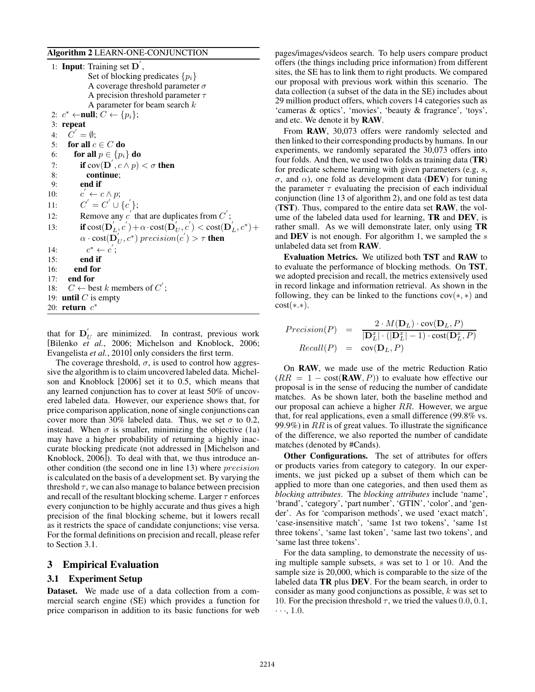#### Algorithm 2 LEARN-ONE-CONJUNCTION

1: **Input:** Training set  $\mathbf{D}'$ , Set of blocking predicates  $\{p_i\}$ A coverage threshold parameter  $\sigma$ A precision threshold parameter  $\tau$ A parameter for beam search  $k$ 2:  $c^* \leftarrow \text{null}; C \leftarrow \{p_i\};$ 3: repeat 4:  $C' = \emptyset$ ;<br>5. for all c 5: for all  $c \in C$  do 6: **for all**  $p \in \{p_i\}$  **do**<br>7: **if**  $cov(D', c \wedge p)$ 7: **if**  $cov(D', c \wedge p) < \sigma$  then<br>8. **continue** 8: continue; 9: end if  $10:$  $\stackrel{\cdots}{\leftarrow} c \wedge p;$ 11:  $C' = C' \cup \{c'\};$ <br>
12: **Demove any**  $c'$  then 12: Remove any c' that are duplicates from  $C'$ ; 13: **if**  $\text{cost}(\mathbf{D}'_L, c') + \alpha \cdot \text{cost}(\mathbf{D}'_U, c') < \text{cost}(\mathbf{D}'_L, c^*) + \alpha \cdot \text{cost}(\mathbf{D}'_L, c') < \text{cost}(\mathbf{D}'_L, c^*)$  $\alpha \cdot \text{cost}(\overrightarrow{\mathbf{D}_{U}}, c^{*}) \text{ precision}(c') > \tau \text{ then}$ 14:  $c^* \leftarrow c';$ 15: end if 16: end for 17: end for 18:  $C \leftarrow$  best k members of  $C'$ ; 19: **until**  $C$  is empty 20: return c<sup>∗</sup>

that for  $\mathbf{D}_{U}^{'}$  are minimized. In contrast, previous work<br>[Bilenko *et al.* 2006: Michelson and Knoblock 2006: [Bilenko *et al.*, 2006; Michelson and Knoblock, 2006; Evangelista *et al.*, 2010] only considers the first term.

The coverage threshold,  $\sigma$ , is used to control how aggressive the algorithm is to claim uncovered labeled data. Michelson and Knoblock [2006] set it to 0.5, which means that any learned conjunction has to cover at least 50% of uncovered labeled data. However, our experience shows that, for price comparison application, none of single conjunctions can cover more than 30% labeled data. Thus, we set  $\sigma$  to 0.2, instead. When  $\sigma$  is smaller, minimizing the objective (1a) may have a higher probability of returning a highly inaccurate blocking predicate (not addressed in [Michelson and Knoblock, 2006]). To deal with that, we thus introduce another condition (the second one in line 13) where precision is calculated on the basis of a development set. By varying the threshold  $\tau$ , we can also manage to balance between precision and recall of the resultant blocking scheme. Larger  $\tau$  enforces every conjunction to be highly accurate and thus gives a high precision of the final blocking scheme, but it lowers recall as it restricts the space of candidate conjunctions; vise versa. For the formal definitions on precision and recall, please refer to Section 3.1.

## 3 Empirical Evaluation

## 3.1 Experiment Setup

Dataset. We made use of a data collection from a commercial search engine (SE) which provides a function for price comparison in addition to its basic functions for web pages/images/videos search. To help users compare product offers (the things including price information) from different sites, the SE has to link them to right products. We compared our proposal with previous work within this scenario. The data collection (a subset of the data in the SE) includes about 29 million product offers, which covers 14 categories such as 'cameras & optics', 'movies', 'beauty & fragrance', 'toys', and etc. We denote it by RAW.

From RAW, 30,073 offers were randomly selected and then linked to their corresponding products by humans. In our experiments, we randomly separated the 30,073 offers into four folds. And then, we used two folds as training data (TR) for predicate scheme learning with given parameters (e.g, s, σ, and α), one fold as development data (DEV) for tuning the parameter  $\tau$  evaluating the precision of each individual conjunction (line 13 of algorithm 2), and one fold as test data (TST). Thus, compared to the entire data set RAW, the volume of the labeled data used for learning, TR and DEV, is rather small. As we will demonstrate later, only using TR and **DEV** is not enough. For algorithm 1, we sampled the s unlabeled data set from RAW.

Evaluation Metrics. We utilized both TST and RAW to to evaluate the performance of blocking methods. On TST, we adopted precision and recall, the metrics extensively used in record linkage and information retrieval. As shown in the following, they can be linked to the functions  $cov(*, *)$  and  $cost(*.*).$ 

$$
Precision(P) = \frac{2 \cdot M(\mathbf{D}_L) \cdot cov(\mathbf{D}_L, P)}{|\mathbf{D}_L^x| \cdot (|\mathbf{D}_L^x| - 1) \cdot cost(\mathbf{D}_L^x, P)}
$$
  
Recall(P) = cov( $\mathbf{D}_L, P$ )

On RAW, we made use of the metric Reduction Ratio  $(RR = 1 - \text{cost}(\text{RAW}, P))$  to evaluate how effective our proposal is in the sense of reducing the number of candidate matches. As be shown later, both the baseline method and our proposal can achieve a higher RR. However, we argue that, for real applications, even a small difference (99.8% vs. 99.9%) in  $RR$  is of great values. To illustrate the significance of the difference, we also reported the number of candidate matches (denoted by #Cands).

Other Configurations. The set of attributes for offers or products varies from category to category. In our experiments, we just picked up a subset of them which can be applied to more than one categories, and then used them as *blocking attributes*. The *blocking attributes* include 'name', 'brand', 'category', 'part number', 'GTIN', 'color', and 'gender'. As for 'comparison methods', we used 'exact match', 'case-insensitive match', 'same 1st two tokens', 'same 1st three tokens', 'same last token', 'same last two tokens', and 'same last three tokens'.

For the data sampling, to demonstrate the necessity of using multiple sample subsets, <sup>s</sup> was set to 1 or 10. And the sample size is 20,000, which is comparable to the size of the labeled data TR plus DEV. For the beam search, in order to consider as many good conjunctions as possible, k was set to 10. For the precision threshold  $\tau$ , we tried the values 0.0, 0.1,  $\cdots$ , 1.0.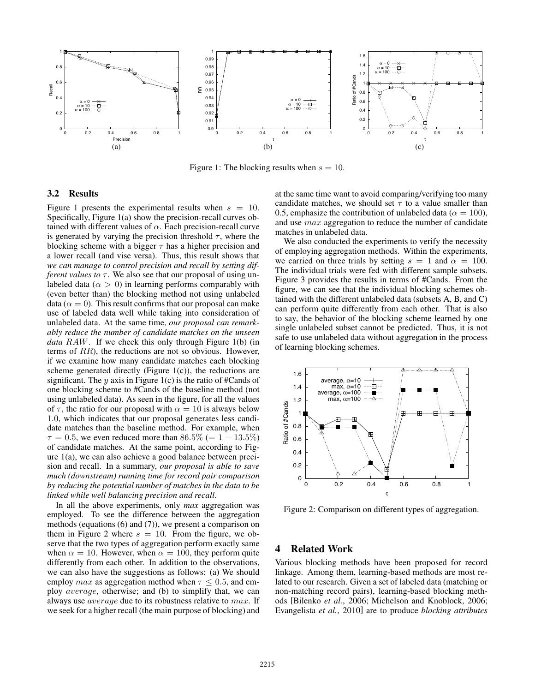

Figure 1: The blocking results when  $s = 10$ .

## 3.2 Results

Figure 1 presents the experimental results when  $s = 10$ . Specifically, Figure 1(a) show the precision-recall curves obtained with different values of  $\alpha$ . Each precision-recall curve is generated by varying the precision threshold  $\tau$ , where the blocking scheme with a bigger  $\tau$  has a higher precision and a lower recall (and vise versa). Thus, this result shows that *we can manage to control precision and recall by setting different values to* τ. We also see that our proposal of using unlabeled data ( $\alpha > 0$ ) in learning performs comparably with (even better than) the blocking method not using unlabeled data ( $\alpha = 0$ ). This result confirms that our proposal can make use of labeled data well while taking into consideration of unlabeled data. At the same time, *our proposal can remarkably reduce the number of candidate matches on the unseen data* RAW. If we check this only through Figure 1(b) (in terms of RR), the reductions are not so obvious. However, if we examine how many candidate matches each blocking scheme generated directly (Figure  $1(c)$ ), the reductions are significant. The y axis in Figure 1(c) is the ratio of #Cands of one blocking scheme to #Cands of the baseline method (not using unlabeled data). As seen in the figure, for all the values of  $\tau$ , the ratio for our proposal with  $\alpha = 10$  is always below 1.0, which indicates that our proposal generates less candidate matches than the baseline method. For example, when  $\tau = 0.5$ , we even reduced more than 86.5% (= 1 – 13.5%) of candidate matches. At the same point, according to Figure 1(a), we can also achieve a good balance between precision and recall. In a summary, *our proposal is able to save much (downstream) running time for record pair comparison by reducing the potential number of matches in the data to be linked while well balancing precision and recall*.

In all the above experiments, only *max* aggregation was employed. To see the difference between the aggregation methods (equations (6) and (7)), we present a comparison on them in Figure 2 where  $s = 10$ . From the figure, we observe that the two types of aggregation perform exactly same when  $\alpha = 10$ . However, when  $\alpha = 100$ , they perform quite differently from each other. In addition to the observations, we can also have the suggestions as follows: (a) We should employ *max* as aggregation method when  $\tau \leq 0.5$ , and employ average, otherwise; and (b) to simplify that, we can always use average due to its robustness relative to max. If we seek for a higher recall (the main purpose of blocking) and at the same time want to avoid comparing/verifying too many candidate matches, we should set  $\tau$  to a value smaller than 0.5, emphasize the contribution of unlabeled data ( $\alpha = 100$ ), and use max aggregation to reduce the number of candidate matches in unlabeled data.

We also conducted the experiments to verify the necessity of employing aggregation methods. Within the experiments, we carried on three trials by setting  $s = 1$  and  $\alpha = 100$ . The individual trials were fed with different sample subsets. Figure 3 provides the results in terms of #Cands. From the figure, we can see that the individual blocking schemes obtained with the different unlabeled data (subsets A, B, and C) can perform quite differently from each other. That is also to say, the behavior of the blocking scheme learned by one single unlabeled subset cannot be predicted. Thus, it is not safe to use unlabeled data without aggregation in the process of learning blocking schemes.



Figure 2: Comparison on different types of aggregation.

# 4 Related Work

Various blocking methods have been proposed for record linkage. Among them, learning-based methods are most related to our research. Given a set of labeled data (matching or non-matching record pairs), learning-based blocking methods [Bilenko *et al.*, 2006; Michelson and Knoblock, 2006; Evangelista *et al.*, 2010] are to produce *blocking attributes*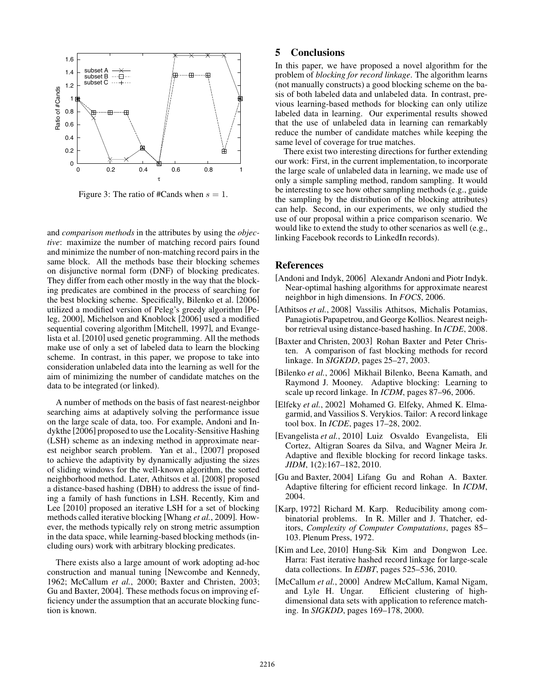

Figure 3: The ratio of #Cands when  $s = 1$ .

and *comparison methods* in the attributes by using the *objective*: maximize the number of matching record pairs found and minimize the number of non-matching record pairs in the same block. All the methods base their blocking schemes on disjunctive normal form (DNF) of blocking predicates. They differ from each other mostly in the way that the blocking predicates are combined in the process of searching for the best blocking scheme. Specifically, Bilenko et al. [2006] utilized a modified version of Peleg's greedy algorithm [Peleg, 2000], Michelson and Knoblock [2006] used a modified sequential covering algorithm [Mitchell, 1997], and Evangelista et al. [2010] used genetic programming. All the methods make use of only a set of labeled data to learn the blocking scheme. In contrast, in this paper, we propose to take into consideration unlabeled data into the learning as well for the aim of minimizing the number of candidate matches on the data to be integrated (or linked).

A number of methods on the basis of fast nearest-neighbor searching aims at adaptively solving the performance issue on the large scale of data, too. For example, Andoni and Indykthe [2006] proposed to use the Locality-Sensitive Hashing (LSH) scheme as an indexing method in approximate nearest neighbor search problem. Yan et al., [2007] proposed to achieve the adaptivity by dynamically adjusting the sizes of sliding windows for the well-known algorithm, the sorted neighborhood method. Later, Athitsos et al. [2008] proposed a distance-based hashing (DBH) to address the issue of finding a family of hash functions in LSH. Recently, Kim and Lee [2010] proposed an iterative LSH for a set of blocking methods called iterative blocking [Whang *et al.*, 2009]. However, the methods typically rely on strong metric assumption in the data space, while learning-based blocking methods (including ours) work with arbitrary blocking predicates.

There exists also a large amount of work adopting ad-hoc construction and manual tuning [Newcombe and Kennedy, 1962; McCallum *et al.*, 2000; Baxter and Christen, 2003; Gu and Baxter, 2004]. These methods focus on improving efficiency under the assumption that an accurate blocking function is known.

# 5 Conclusions

In this paper, we have proposed a novel algorithm for the problem of *blocking for record linkage*. The algorithm learns (not manually constructs) a good blocking scheme on the basis of both labeled data and unlabeled data. In contrast, previous learning-based methods for blocking can only utilize labeled data in learning. Our experimental results showed that the use of unlabeled data in learning can remarkably reduce the number of candidate matches while keeping the same level of coverage for true matches.

There exist two interesting directions for further extending our work: First, in the current implementation, to incorporate the large scale of unlabeled data in learning, we made use of only a simple sampling method, random sampling. It would be interesting to see how other sampling methods (e.g., guide the sampling by the distribution of the blocking attributes) can help. Second, in our experiments, we only studied the use of our proposal within a price comparison scenario. We would like to extend the study to other scenarios as well (e.g., linking Facebook records to LinkedIn records).

### References

- [Andoni and Indyk, 2006] Alexandr Andoni and Piotr Indyk. Near-optimal hashing algorithms for approximate nearest neighbor in high dimensions. In *FOCS*, 2006.
- [Athitsos *et al.*, 2008] Vassilis Athitsos, Michalis Potamias, Panagiotis Papapetrou, and George Kollios. Nearest neighbor retrieval using distance-based hashing. In *ICDE*, 2008.
- [Baxter and Christen, 2003] Rohan Baxter and Peter Christen. A comparison of fast blocking methods for record linkage. In *SIGKDD*, pages 25–27, 2003.
- [Bilenko *et al.*, 2006] Mikhail Bilenko, Beena Kamath, and Raymond J. Mooney. Adaptive blocking: Learning to scale up record linkage. In *ICDM*, pages 87–96, 2006.
- [Elfeky *et al.*, 2002] Mohamed G. Elfeky, Ahmed K. Elmagarmid, and Vassilios S. Verykios. Tailor: A record linkage tool box. In *ICDE*, pages 17–28, 2002.
- [Evangelista *et al.*, 2010] Luiz Osvaldo Evangelista, Eli Cortez, Altigran Soares da Silva, and Wagner Meira Jr. Adaptive and flexible blocking for record linkage tasks. *JIDM*, 1(2):167–182, 2010.
- [Gu and Baxter, 2004] Lifang Gu and Rohan A. Baxter. Adaptive filtering for efficient record linkage. In *ICDM*, 2004.
- [Karp, 1972] Richard M. Karp. Reducibility among combinatorial problems. In R. Miller and J. Thatcher, editors, *Complexity of Computer Computations*, pages 85– 103. Plenum Press, 1972.
- [Kim and Lee, 2010] Hung-Sik Kim and Dongwon Lee. Harra: Fast iterative hashed record linkage for large-scale data collections. In *EDBT*, pages 525–536, 2010.
- [McCallum et al., 2000] Andrew McCallum, Kamal Nigam, and Lyle H. Ungar. Efficient clustering of highdimensional data sets with application to reference matching. In *SIGKDD*, pages 169–178, 2000.